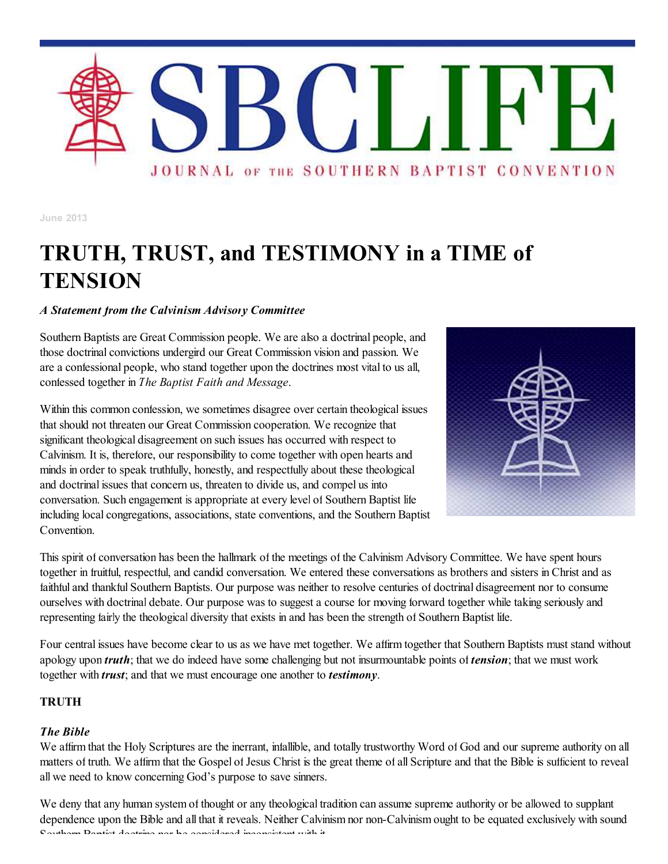

**June 2013**

# **TRUTH, TRUST, and TESTIMONY in a TIME of TENSION**

## *A Statement from the Calvinism Advisory Committee*

Southern Baptists are Great Commission people. We are also a doctrinal people, and those doctrinal convictions undergird our Great Commission vision and passion. We are a confessional people, who stand together upon the doctrines most vital to us all, confessed together in *The Baptist Faith and Message*.

Within this common confession, we sometimes disagree over certain theological issues that should not threaten our Great Commission cooperation. We recognize that significant theological disagreement on such issues has occurred with respect to Calvinism. It is, therefore, our responsibility to come together with open hearts and minds in order to speak truthfully, honestly, and respectfully about these theological and doctrinal issues that concern us, threaten to divide us, and compel us into conversation. Such engagement is appropriate at every level of Southern Baptist life including local congregations, associations, state conventions, and the Southern Baptist Convention.



This spirit of conversation has been the hallmark of the meetings of the Calvinism Advisory Committee. We have spent hours together in fruitful, respectful, and candid conversation. We entered these conversations as brothers and sisters in Christ and as faithful and thankful Southern Baptists. Our purpose was neither to resolve centuries of doctrinal disagreement nor to consume ourselves with doctrinal debate. Our purpose was to suggest a course for moving forward together while taking seriously and representing fairly the theological diversity that exists in and has been the strength of Southern Baptist life.

Four central issues have become clear to us as we have met together. We affirm together that Southern Baptists must stand without apology upon *truth*; that we do indeed have some challenging but not insurmountable points of *tension*; that we must work together with *trust*; and that we must encourage one another to *testimony*.

## **TRUTH**

#### *The Bible*

We affirm that the Holy Scriptures are the inerrant, infallible, and totally trustworthy Word of God and our supreme authority on all matters of truth. We affirm that the Gospel of Jesus Christ is the great theme of all Scripture and that the Bible is sufficient to reveal all we need to know concerning God's purpose to save sinners.

We deny that any human system of thought or any theological tradition can assume supreme authority or be allowed to supplant dependence upon the Bible and all that it reveals. Neither Calvinism nor non-Calvinism ought to be equated exclusively with sound Southern Baptist doctrine nor be considered inconsistent with it.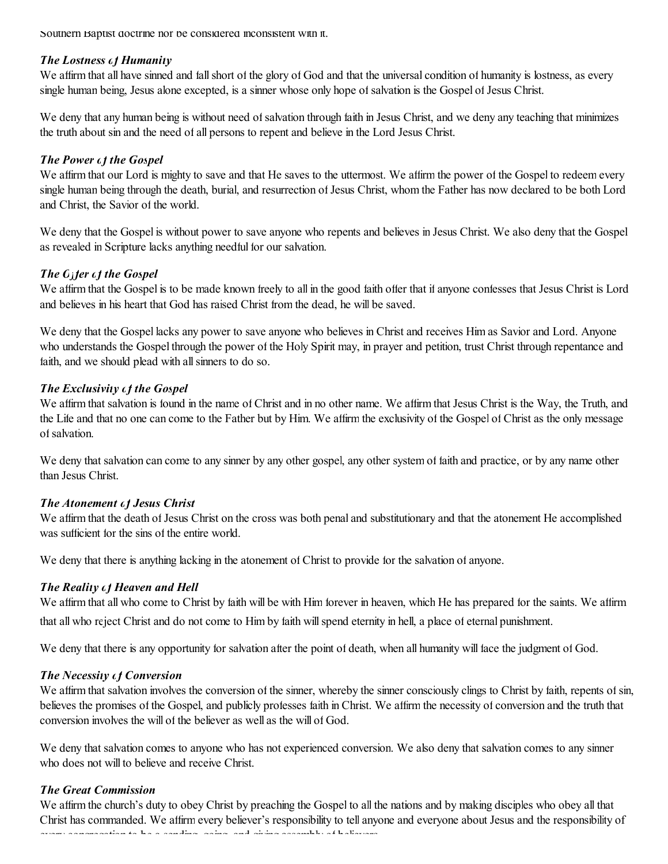Southern Baptist doctrine nor be considered inconsistent with it.

## *The Lostness of Humanity*

We affirm that all have sinned and fall short of the glory of God and that the universal condition of humanity is lostness, as every single human being, Jesus alone excepted, is a sinner whose only hope of salvation is the Gospel of Jesus Christ.

We deny that any human being is without need of salvation through faith in Jesus Christ, and we deny any teaching that minimizes the truth about sin and the need of all persons to repent and believe in the Lord Jesus Christ.

## *The Power of the Gospel*

We affirm that our Lord is mighty to save and that He saves to the uttermost. We affirm the power of the Gospel to redeem every single human being through the death, burial, and resurrection of Jesus Christ, whom the Father has now declared to be both Lord and Christ, the Savior of the world.

We deny that the Gospel is without power to save anyone who repents and believes in Jesus Christ. We also deny that the Gospel as revealed in Scripture lacks anything needful for our salvation.

## *<i>The O*<sub>j</sub> *ter of the Gospel*

We affirm that the Gospel is to be made known freely to all in the good faith offer that if anyone confesses that Jesus Christ is Lord and believes in his heart that God has raised Christ from the dead, he will be saved.

We deny that the Gospel lacks any power to save anyone who believes in Christ and receives Him as Savior and Lord. Anyone who understands the Gospel through the power of the Holy Spirit may, in prayer and petition, trust Christ through repentance and faith, and we should plead with allsinners to do so.

## *The Exclusivity of the Gospel*

We affirm that salvation is found in the name of Christ and in no other name. We affirm that Jesus Christ is the Way, the Truth, and the Life and that no one can come to the Father but by Him. We affirm the exclusivity of the Gospel of Christ as the only message of salvation.

We deny that salvation can come to any sinner by any other gospel, any other system of faith and practice, or by any name other than Jesus Christ.

#### *The Atonement of Jesus Christ*

We affirm that the death of Jesus Christ on the cross was both penal and substitutionary and that the atonement He accomplished was sufficient for the sins of the entire world.

We deny that there is anything lacking in the atonement of Christ to provide for the salvation of anyone.

## *The Reality of Heaven and Hell*

We affirm that all who come to Christ by faith will be with Him forever in heaven, which He has prepared for the saints. We affirm that all who reject Christ and do not come to Him by faith willspend eternity in hell, a place of eternal punishment.

We deny that there is any opportunity for salvation after the point of death, when all humanity will face the judgment of God.

#### *The Necessity of Conversion*

We affirm that salvation involves the conversion of the sinner, whereby the sinner consciously clings to Christ by faith, repents of sin, believes the promises of the Gospel, and publicly professes faith in Christ. We affirm the necessity of conversion and the truth that conversion involves the will of the believer as well as the will of God.

We deny that salvation comes to anyone who has not experienced conversion. We also deny that salvation comes to any sinner who does not will to believe and receive Christ.

## *The Great Commission*

We affirm the church's duty to obey Christ by preaching the Gospel to all the nations and by making disciples who obey all that Christ has commanded. We affirm every believer's responsibility to tell anyone and everyone about Jesus and the responsibility of every congregation to be a sending, going, and giving assembly of believers.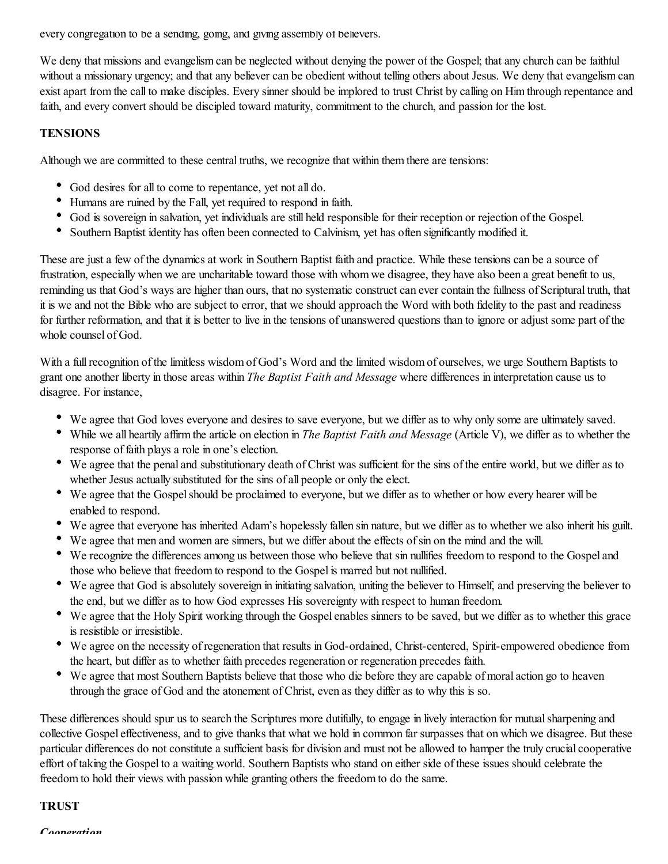every congregation to be a sending, going, and giving assembly of believers.

We deny that missions and evangelism can be neglected without denying the power of the Gospel; that any church can be faithful without a missionary urgency; and that any believer can be obedient without telling others about Jesus. We deny that evangelism can exist apart from the call to make disciples. Every sinner should be implored to trust Christ by calling on Him through repentance and faith, and every convert should be discipled toward maturity, commitment to the church, and passion for the lost.

#### **TENSIONS**

Although we are committed to these central truths, we recognize that within them there are tensions:

- God desires for all to come to repentance, yet not all do.
- Humans are ruined by the Fall, yet required to respond in faith.
- God is sovereign in salvation, yet individuals are still held responsible for their reception or rejection of the Gospel.
- Southern Baptist identity has often been connected to Calvinism, yet has often significantly modified it.

These are just a few of the dynamics at work in Southern Baptist faith and practice. While these tensions can be a source of frustration, especially when we are uncharitable toward those with whom we disagree, they have also been a great benefit to us, reminding us that God's ways are higher than ours, that no systematic construct can ever contain the fullness of Scriptural truth, that it is we and not the Bible who are subject to error, that we should approach the Word with both fidelity to the past and readiness for further reformation, and that it is better to live in the tensions of unanswered questions than to ignore or adjust some part of the whole counsel of God.

With a full recognition of the limitless wisdom of God's Word and the limited wisdom of ourselves, we urge Southern Baptists to grant one another liberty in those areas within *The Baptist Faith and Message* where differences in interpretation cause us to disagree. For instance,

- We agree that God loves everyone and desires to save everyone, but we differ as to why only some are ultimately saved.
- While we all heartily affirm the article on election in *The Baptist Faith and Message* (Article V), we differ as to whether the response of faith plays a role in one's election.
- We agree that the penal and substitutionary death of Christ was sufficient for the sins of the entire world, but we differ as to whether Jesus actually substituted for the sins of all people or only the elect.
- We agree that the Gospel should be proclaimed to everyone, but we differ as to whether or how every hearer will be enabled to respond.
- We agree that everyone has inherited Adam's hopelessly fallen sin nature, but we differ as to whether we also inherit his guilt.
- We agree that men and women are sinners, but we differ about the effects of sin on the mind and the will.
- We recognize the differences among us between those who believe that sin nullifies freedom to respond to the Gospel and those who believe that freedom to respond to the Gospel is marred but not nullified.
- We agree that God is absolutely sovereign in initiating salvation, uniting the believer to Himself, and preserving the believer to the end, but we differ as to how God expresses His sovereignty with respect to human freedom.
- We agree that the Holy Spirit working through the Gospel enables sinners to be saved, but we differ as to whether this grace is resistible or irresistible.
- We agree on the necessity of regeneration that results in God-ordained, Christ-centered, Spirit-empowered obedience from the heart, but differ as to whether faith precedes regeneration or regeneration precedes faith.
- We agree that most Southern Baptists believe that those who die before they are capable of moral action go to heaven through the grace of God and the atonement of Christ, even as they differ as to why this is so.

These differences should spur us to search the Scriptures more dutifully, to engage in lively interaction for mutual sharpening and collective Gospel effectiveness, and to give thanks that what we hold in common far surpasses that on which we disagree. But these particular differences do not constitute a sufficient basis for division and must not be allowed to hamper the truly crucial cooperative effort of taking the Gospel to a waiting world. Southern Baptists who stand on either side of these issues should celebrate the freedom to hold their views with passion while granting others the freedom to do the same.

#### **TRUST**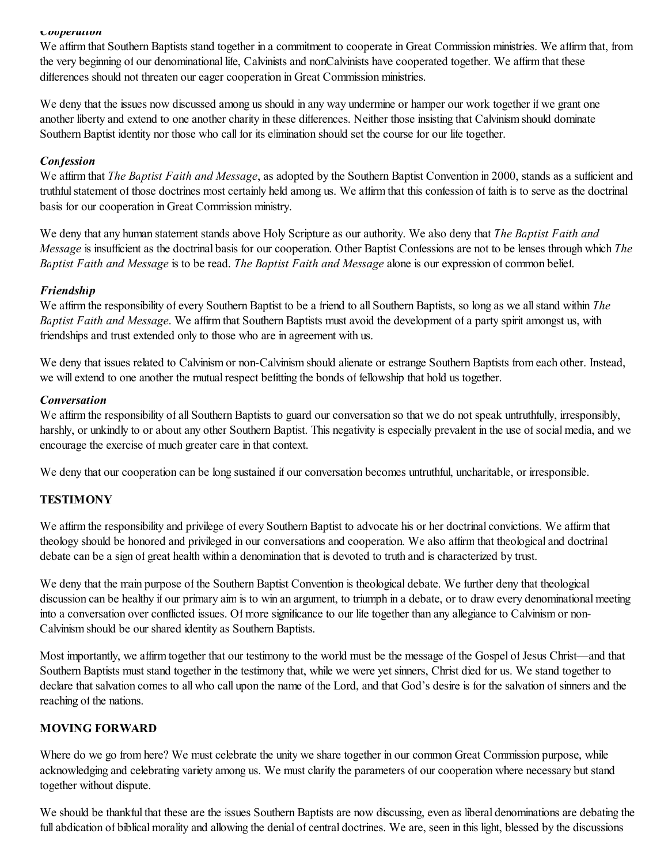#### *Cooperation*

We affirm that Southern Baptists stand together in a commitment to cooperate in Great Commission ministries. We affirm that, from the very beginning of our denominational life, Calvinists and nonCalvinists have cooperated together. We affirm that these differences should not threaten our eager cooperation in Great Commission ministries.

We deny that the issues now discussed among us should in any way undermine or hamper our work together if we grant one another liberty and extend to one another charity in these differences. Neither those insisting that Calvinism should dominate Southern Baptist identity nor those who call for its elimination should set the course for our life together.

#### *Confession*

We affirm that *The Baptist Faith and Message*, as adopted by the Southern Baptist Convention in 2000, stands as a sufficient and truthfulstatement of those doctrines most certainly held among us. We affirm that this confession of faith is to serve as the doctrinal basis for our cooperation in Great Commission ministry.

We deny that any human statement stands above Holy Scripture as our authority. We also deny that *The Baptist Faith and Message* is insufficient as the doctrinal basis for our cooperation. Other Baptist Confessions are not to be lenses through which *The Baptist Faith and Message* is to be read. *The Baptist Faith and Message* alone is our expression of common belief.

## *Friendship*

We affirm the responsibility of every Southern Baptist to be a friend to all Southern Baptists, so long as we all stand within *The Baptist Faith and Message*. We affirm that Southern Baptists must avoid the development of a party spirit amongst us, with friendships and trust extended only to those who are in agreement with us.

We deny that issues related to Calvinism or non-Calvinism should alienate or estrange Southern Baptists from each other. Instead, we will extend to one another the mutual respect befitting the bonds of fellowship that hold us together.

#### *Conversation*

We affirm the responsibility of all Southern Baptists to guard our conversation so that we do not speak untruthfully, irresponsibly, harshly, or unkindly to or about any other Southern Baptist. This negativity is especially prevalent in the use of social media, and we encourage the exercise of much greater care in that context.

We deny that our cooperation can be long sustained if our conversation becomes untruthful, uncharitable, or irresponsible.

## **TESTIMONY**

We affirm the responsibility and privilege of every Southern Baptist to advocate his or her doctrinal convictions. We affirm that theology should be honored and privileged in our conversations and cooperation. We also affirm that theological and doctrinal debate can be a sign of great health within a denomination that is devoted to truth and is characterized by trust.

We deny that the main purpose of the Southern Baptist Convention is theological debate. We further deny that theological discussion can be healthy if our primary aim is to win an argument, to triumph in a debate, or to draw every denominational meeting into a conversation over conflicted issues. Of more significance to our life together than any allegiance to Calvinism or non-Calvinism should be our shared identity as Southern Baptists.

Most importantly, we affirm together that our testimony to the world must be the message of the Gospel of Jesus Christ—and that Southern Baptists must stand together in the testimony that, while we were yet sinners, Christ died for us. We stand together to declare that salvation comes to all who call upon the name of the Lord, and that God's desire is for the salvation of sinners and the reaching of the nations.

## **MOVING FORWARD**

Where do we go from here? We must celebrate the unity we share together in our common Great Commission purpose, while acknowledging and celebrating variety among us. We must clarify the parameters of our cooperation where necessary but stand together without dispute.

We should be thankful that these are the issues Southern Baptists are now discussing, even as liberal denominations are debating the full abdication of biblical morality and allowing the denial of central doctrines. We are, seen in this light, blessed by the discussions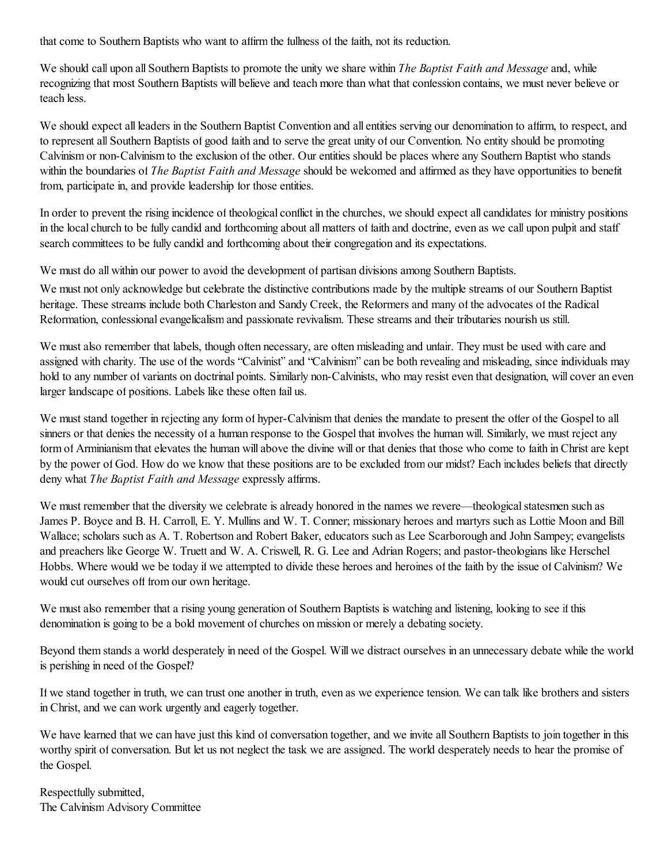that come to Southern Baptists who want to affirm the fullness of the faith, not its reduction.

We should call upon all Southern Baptists to promote the unity we share within *The Baptist Faith and Message* and, while recognizing that most Southern Baptists will believe and teach more than what that confession contains, we must never believe or teach less.

We should expect all leaders in the Southern Baptist Convention and all entities serving our denomination to affirm, to respect, and to represent all Southern Baptists of good faith and to serve the great unity of our Convention. No entity should be promoting Calvinism or non-Calvinism to the exclusion of the other. Our entities should be places where any Southern Baptist who stands within the boundaries of *The Baptist Faith and Message* should be welcomed and affirmed as they have opportunities to benefit from, participate in, and provide leadership for those entities.

In order to prevent the rising incidence of theological conflict in the churches, we should expect all candidates for ministry positions in the local church to be fully candid and forthcoming about all matters of faith and doctrine, even as we call upon pulpit and staff search committees to be fully candid and forthcoming about their congregation and its expectations.

We must do all within our power to avoid the development of partisan divisions among Southern Baptists.

We must not only acknowledge but celebrate the distinctive contributions made by the multiple streams of our Southern Baptist heritage. These streams include both Charleston and Sandy Creek, the Reformers and many of the advocates of the Radical Reformation, confessional evangelicalism and passionate revivalism. These streams and their tributaries nourish us still.

We must also remember that labels, though often necessary, are often misleading and unfair. They must be used with care and assigned with charity. The use of the words "Calvinist" and "Calvinism" can be both revealing and misleading, since individuals may hold to any number of variants on doctrinal points. Similarly non-Calvinists, who may resist even that designation, will cover an even larger landscape of positions. Labels like these often fail us.

We must stand together in rejecting any form of hyper-Calvinism that denies the mandate to present the offer of the Gospel to all sinners or that denies the necessity of a human response to the Gospel that involves the human will. Similarly, we must reject any form of Arminianism that elevates the human will above the divine will or that denies that those who come to faith in Christ are kept by the power of God. How do we know that these positions are to be excluded from our midst? Each includes beliefs that directly deny what *The Baptist Faith and Message* expressly affirms.

We must remember that the diversity we celebrate is already honored in the names we revere—theological statesmen such as James P. Boyce and B. H. Carroll, E. Y. Mullins and W. T. Conner; missionary heroes and martyrs such as Lottie Moon and Bill Wallace; scholars such as A. T. Robertson and Robert Baker, educators such as Lee Scarborough and John Sampey; evangelists and preachers like George W. Truett and W. A. Criswell, R. G. Lee and Adrian Rogers; and pastor-theologians like Herschel Hobbs. Where would we be today if we attempted to divide these heroes and heroines of the faith by the issue of Calvinism? We would cut ourselves off from our own heritage.

We must also remember that a rising young generation of Southern Baptists is watching and listening, looking to see if this denomination is going to be a bold movement of churches on mission or merely a debating society.

Beyond them stands a world desperately in need of the Gospel. Will we distract ourselves in an unnecessary debate while the world is perishing in need of the Gospel?

If we stand together in truth, we can trust one another in truth, even as we experience tension. We can talk like brothers and sisters in Christ, and we can work urgently and eagerly together.

We have learned that we can have just this kind of conversation together, and we invite all Southern Baptists to join together in this worthy spirit of conversation. But let us not neglect the task we are assigned. The world desperately needs to hear the promise of the Gospel.

Respectfully submitted, The Calvinism Advisory Committee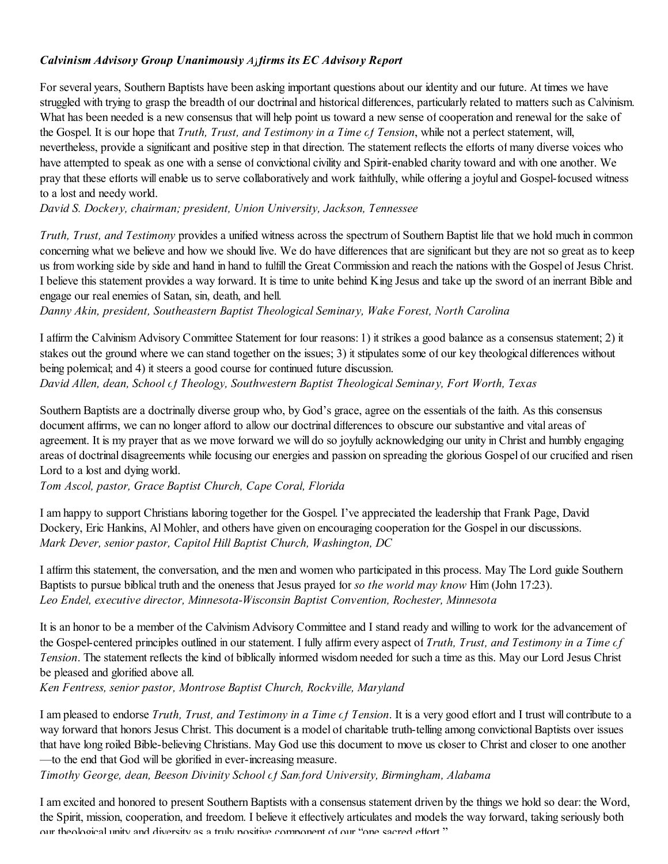## *Calvinism Advisory Group Unanimously Affirms its EC Advisory Report*

For several years, Southern Baptists have been asking important questions about our identity and our future. At times we have struggled with trying to grasp the breadth of our doctrinal and historical differences, particularly related to matters such as Calvinism. What has been needed is a new consensus that will help point us toward a new sense of cooperation and renewal for the sake of the Gospel. It is our hope that *Truth, Trust, and Testimony in a Time of Tension*, while not a perfect statement, will, nevertheless, provide a significant and positive step in that direction. The statement reflects the efforts of many diverse voices who have attempted to speak as one with a sense of convictional civility and Spirit-enabled charity toward and with one another. We pray that these efforts will enable us to serve collaboratively and work faithfully, while offering a joyful and Gospel-focused witness to a lost and needy world.

*David S. Dockery, chairman; president, Union University, Jackson, Tennessee*

*Truth, Trust, and Testimony* provides a unified witness across the spectrum of Southern Baptist life that we hold much in common concerning what we believe and how we should live. We do have differences that are significant but they are not so great as to keep us from working side by side and hand in hand to fulfill the Great Commission and reach the nations with the Gospel of Jesus Christ. I believe this statement provides a way forward. It is time to unite behind King Jesus and take up the sword of an inerrant Bible and engage our real enemies of Satan, sin, death, and hell.

*Danny Akin, president, Southeastern Baptist Theological Seminary, Wake Forest, North Carolina*

I affirm the Calvinism Advisory Committee Statement for four reasons: 1) it strikes a good balance as a consensus statement; 2) it stakes out the ground where we can stand together on the issues; 3) it stipulates some of our key theological differences without being polemical; and 4) it steers a good course for continued future discussion. *David Allen, dean, School of Theology, Southwestern Baptist Theological Seminary, Fort Worth, Texas*

Southern Baptists are a doctrinally diverse group who, by God's grace, agree on the essentials of the faith. As this consensus document affirms, we can no longer afford to allow our doctrinal differences to obscure our substantive and vital areas of agreement. It is my prayer that as we move forward we will do so joyfully acknowledging our unity in Christ and humbly engaging areas of doctrinal disagreements while focusing our energies and passion on spreading the glorious Gospel of our crucified and risen Lord to a lost and dying world.

*Tom Ascol, pastor, Grace Baptist Church, Cape Coral, Florida*

I am happy to support Christians laboring together for the Gospel. I've appreciated the leadership that Frank Page, David Dockery, Eric Hankins, Al Mohler, and others have given on encouraging cooperation for the Gospel in our discussions. *Mark Dever, senior pastor, Capitol Hill Baptist Church, Washington, DC*

I affirm this statement, the conversation, and the men and women who participated in this process. May The Lord guide Southern Baptists to pursue biblical truth and the oneness that Jesus prayed for *so the world may know* Him (John 17:23). *Leo Endel, executive director, Minnesota-Wisconsin Baptist Convention, Rochester, Minnesota*

It is an honor to be a member of the Calvinism Advisory Committee and I stand ready and willing to work for the advancement of the Gospel-centered principles outlined in our statement. I fully affirm every aspect of *Truth, Trust, and Testimony in a Time of Tension*. The statement reflects the kind of biblically informed wisdom needed for such a time as this. May our Lord Jesus Christ be pleased and glorified above all.

*Ken Fentress, senior pastor, Montrose Baptist Church, Rockville, Maryland*

I am pleased to endorse *Truth, Trust, and Testimony in a Time of Tension*. It is a very good effort and I trust will contribute to a way forward that honors Jesus Christ. This document is a model of charitable truth-telling among convictional Baptists over issues that have long roiled Bible-believing Christians. May God use this document to move us closer to Christ and closer to one another —to the end that God will be glorified in ever-increasing measure.

*Timothy George, dean, Beeson Divinity School of Samford University, Birmingham, Alabama*

I am excited and honored to present Southern Baptists with a consensus statement driven by the things we hold so dear: the Word, the Spirit, mission, cooperation, and freedom. I believe it effectively articulates and models the way forward, taking seriously both our theological unity and diversity as a truly positive component of our "one sacred effort."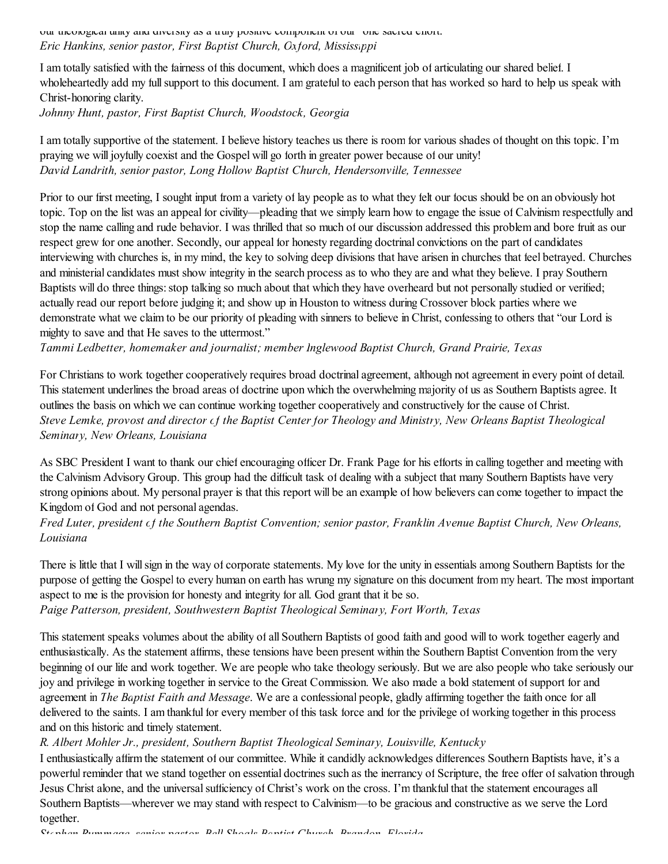our theological unity and diversity as a truly positive component of our "one sacred chort." *Eric Hankins, senior pastor, First Baptist Church, Oxford, Mississippi*

I am totally satisfied with the fairness of this document, which does a magnificent job of articulating our shared belief. I wholeheartedly add my full support to this document. I am grateful to each person that has worked so hard to help us speak with Christ-honoring clarity.

*Johnny Hunt, pastor, First Baptist Church, Woodstock, Georgia*

I am totally supportive of the statement. I believe history teaches us there is room for various shades of thought on this topic. I'm praying we will joyfully coexist and the Gospel will go forth in greater power because of our unity! *David Landrith, senior pastor, Long Hollow Baptist Church, Hendersonville, Tennessee*

Prior to our first meeting, I sought input from a variety of lay people as to what they felt our focus should be on an obviously hot topic. Top on the list was an appeal for civility—pleading that we simply learn how to engage the issue of Calvinism respectfully and stop the name calling and rude behavior. I was thrilled that so much of our discussion addressed this problem and bore fruit as our respect grew for one another. Secondly, our appeal for honesty regarding doctrinal convictions on the part of candidates interviewing with churches is, in my mind, the key to solving deep divisions that have arisen in churches that feel betrayed. Churches and ministerial candidates must show integrity in the search process as to who they are and what they believe. I pray Southern Baptists will do three things: stop talking so much about that which they have overheard but not personally studied or verified; actually read our report before judging it; and show up in Houston to witness during Crossover block parties where we demonstrate what we claim to be our priority of pleading with sinners to believe in Christ, confessing to others that "our Lord is mighty to save and that He saves to the uttermost."

*Tammi Ledbetter, homemaker and journalist; member Inglewood Baptist Church, Grand Prairie, Texas*

For Christians to work together cooperatively requires broad doctrinal agreement, although not agreement in every point of detail. This statement underlines the broad areas of doctrine upon which the overwhelming majority of us as Southern Baptists agree. It outlines the basis on which we can continue working together cooperatively and constructively for the cause of Christ. Steve Lemke, provost and director cf the Baptist Center for Theology and Ministry, New Orleans Baptist Theological *Seminary, New Orleans, Louisiana*

As SBC President I want to thank our chief encouraging officer Dr. Frank Page for his efforts in calling together and meeting with the Calvinism Advisory Group. This group had the difficult task of dealing with a subject that many Southern Baptists have very strong opinions about. My personal prayer is that this report will be an example of how believers can come together to impact the Kingdom of God and not personal agendas.

Fred Luter, president cf the Southern Baptist Convention; senior pastor, Franklin Avenue Baptist Church, New Orleans, *Louisiana*

There is little that I will sign in the way of corporate statements. My love for the unity in essentials among Southern Baptists for the purpose of getting the Gospel to every human on earth has wrung my signature on this document from my heart. The most important aspect to me is the provision for honesty and integrity for all. God grant that it be so.

*Paige Patterson, president, Southwestern Baptist Theological Seminary, Fort Worth, Texas*

This statement speaks volumes about the ability of all Southern Baptists of good faith and good will to work together eagerly and enthusiastically. As the statement affirms, these tensions have been present within the Southern Baptist Convention from the very beginning of our life and work together. We are people who take theology seriously. But we are also people who take seriously our joy and privilege in working together in service to the Great Commission. We also made a bold statement of support for and agreement in *The Baptist Faith and Message*. We are a confessional people, gladly affirming together the faith once for all delivered to the saints. I am thankful for every member of this task force and for the privilege of working together in this process and on this historic and timely statement.

*R. Albert Mohler Jr., president, Southern Baptist Theological Seminary, Louisville, Kentucky*

I enthusiastically affirm the statement of our committee. While it candidly acknowledges differences Southern Baptists have, it's a powerful reminder that we stand together on essential doctrines such as the inerrancy of Scripture, the free offer of salvation through Jesus Christ alone, and the universal sufficiency of Christ's work on the cross. I'm thankful that the statement encourages all Southern Baptists—wherever we may stand with respect to Calvinism—to be gracious and constructive as we serve the Lord together.